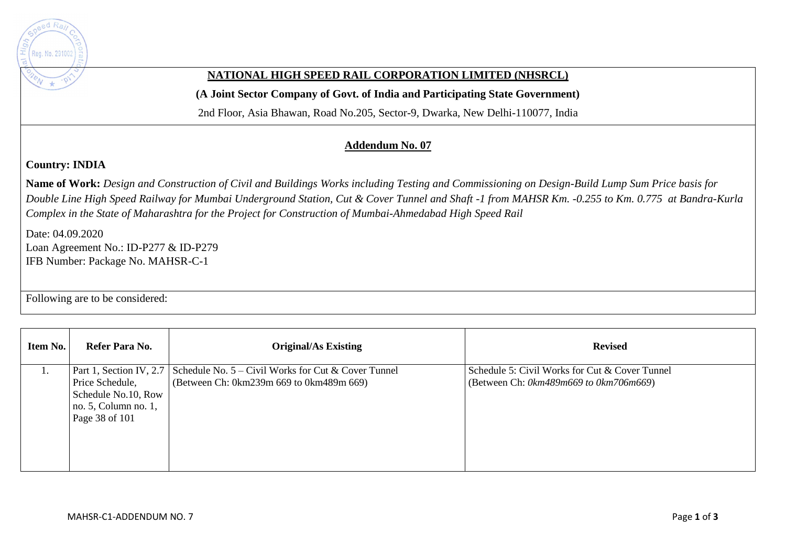

## **NATIONAL HIGH SPEED RAIL CORPORATION LIMITED (NHSRCL)**

**(A Joint Sector Company of Govt. of India and Participating State Government)** 

2nd Floor, Asia Bhawan, Road No.205, Sector-9, Dwarka, New Delhi-110077, India

## **Addendum No. 07**

## **Country: INDIA**

**Name of Work:** *Design and Construction of Civil and Buildings Works including Testing and Commissioning on Design-Build Lump Sum Price basis for Double Line High Speed Railway for Mumbai Underground Station, Cut & Cover Tunnel and Shaft -1 from MAHSR Km. -0.255 to Km. 0.775 at Bandra-Kurla Complex in the State of Maharashtra for the Project for Construction of Mumbai-Ahmedabad High Speed Rail*

Date: 04.09.2020 Loan Agreement No.: ID-P277 & ID-P279 IFB Number: Package No. MAHSR-C-1

Following are to be considered:

| Item No. | Refer Para No.       | <b>Original/As Existing</b>                                                   | <b>Revised</b>                                 |
|----------|----------------------|-------------------------------------------------------------------------------|------------------------------------------------|
|          |                      | Part 1, Section IV, 2.7 Schedule No. $5 -$ Civil Works for Cut & Cover Tunnel | Schedule 5: Civil Works for Cut & Cover Tunnel |
|          | Price Schedule,      | (Between Ch: 0km239m 669 to 0km489m 669)                                      | (Between Ch: $0km489m669$ to $0km706m669$ )    |
|          | Schedule No.10, Row  |                                                                               |                                                |
|          | no. 5, Column no. 1, |                                                                               |                                                |
|          | Page 38 of 101       |                                                                               |                                                |
|          |                      |                                                                               |                                                |
|          |                      |                                                                               |                                                |
|          |                      |                                                                               |                                                |
|          |                      |                                                                               |                                                |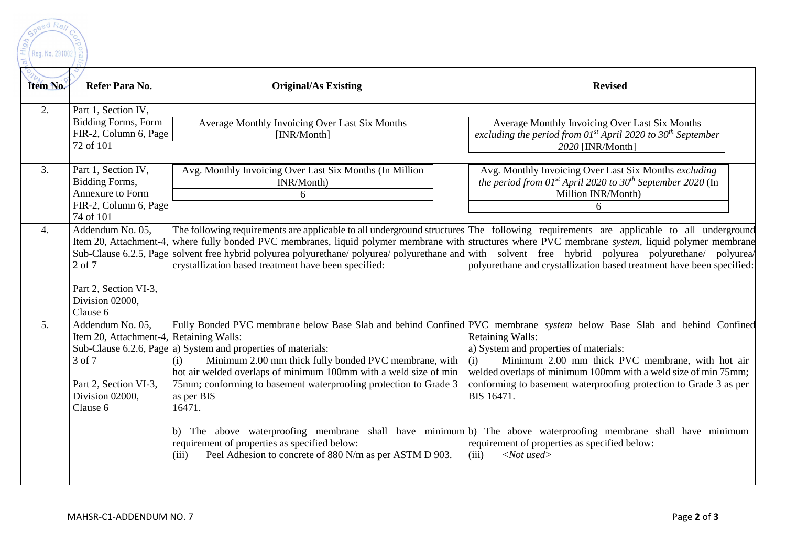

| Item No.       | Refer Para No.                                                                                                                             | <b>Original/As Existing</b>                                                                                                                                                                                                                                                                                                                                                                                                                                                                                                                                                                                                                                  | <b>Revised</b>                                                                                                                                                                                                                                                                                                                                                            |
|----------------|--------------------------------------------------------------------------------------------------------------------------------------------|--------------------------------------------------------------------------------------------------------------------------------------------------------------------------------------------------------------------------------------------------------------------------------------------------------------------------------------------------------------------------------------------------------------------------------------------------------------------------------------------------------------------------------------------------------------------------------------------------------------------------------------------------------------|---------------------------------------------------------------------------------------------------------------------------------------------------------------------------------------------------------------------------------------------------------------------------------------------------------------------------------------------------------------------------|
| 2.             | Part 1, Section IV,<br><b>Bidding Forms, Form</b><br>FIR-2, Column 6, Page<br>72 of 101                                                    | Average Monthly Invoicing Over Last Six Months<br>[INR/Month]                                                                                                                                                                                                                                                                                                                                                                                                                                                                                                                                                                                                | Average Monthly Invoicing Over Last Six Months<br>excluding the period from $01^{st}$ April 2020 to $30^{th}$ September<br>2020 [INR/Month]                                                                                                                                                                                                                               |
| 3.             | Part 1, Section IV,<br>Bidding Forms,<br>Annexure to Form<br>FIR-2, Column 6, Page<br>74 of 101                                            | Avg. Monthly Invoicing Over Last Six Months (In Million<br>INR/Month)<br>6                                                                                                                                                                                                                                                                                                                                                                                                                                                                                                                                                                                   | Avg. Monthly Invoicing Over Last Six Months excluding<br>the period from 01st April 2020 to 30 <sup>th</sup> September 2020 (In<br>Million INR/Month)<br>6                                                                                                                                                                                                                |
| 4.             | Addendum No. 05,<br>Item 20, Attachment-4,<br>Sub-Clause 6.2.5, Page<br>$2$ of $7$<br>Part 2, Section VI-3,<br>Division 02000,<br>Clause 6 | The following requirements are applicable to all underground structures The following requirements are applicable to all underground<br>where fully bonded PVC membranes, liquid polymer membrane with structures where PVC membrane system, liquid polymer membrane<br>solvent free hybrid polyurea polyurethane/polyurea/polyurethane and with solvent free hybrid polyurea polyurethane/polyurea/<br>crystallization based treatment have been specified:                                                                                                                                                                                                 | polyurethane and crystallization based treatment have been specified:                                                                                                                                                                                                                                                                                                     |
| 5 <sub>1</sub> | Addendum No. 05,<br>Item 20, Attachment-4, Retaining Walls:<br>3 of 7<br>Part 2, Section VI-3,<br>Division 02000,<br>Clause 6              | Fully Bonded PVC membrane below Base Slab and behind Confined PVC membrane system below Base Slab and behind Confined<br>Sub-Clause 6.2.6, Page a) System and properties of materials:<br>Minimum 2.00 mm thick fully bonded PVC membrane, with<br>(i)<br>hot air welded overlaps of minimum 100mm with a weld size of min<br>75mm; conforming to basement waterproofing protection to Grade 3<br>as per BIS<br>16471.<br>b) The above waterproofing membrane shall have minimum b) The above waterproofing membrane shall have minimum<br>requirement of properties as specified below:<br>Peel Adhesion to concrete of 880 N/m as per ASTM D 903.<br>(iii) | <b>Retaining Walls:</b><br>a) System and properties of materials:<br>Minimum 2.00 mm thick PVC membrane, with hot air<br>(i)<br>welded overlaps of minimum 100mm with a weld size of min 75mm;<br>conforming to basement waterproofing protection to Grade 3 as per<br>BIS 16471.<br>requirement of properties as specified below:<br>$\langle$ <i>Not</i> used><br>(iii) |